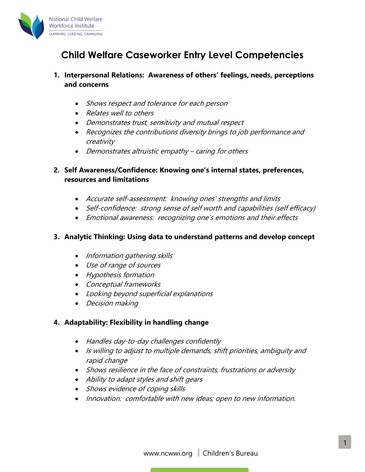

# **Child Welfare Caseworker Entry Level Competencies**

## **1. Interpersonal Relations: Awareness of others' feelings, needs, perceptions and concerns**

- Shows respect and tolerance for each person
- Relates well to others
- Demonstrates trust, sensitivity and mutual respect
- Recognizes the contributions diversity brings to job performance and creativity
- Demonstrates altruistic empathy caring for others

## **2. Self Awareness/Confidence: Knowing one's internal states, preferences, resources and limitations**

- Accurate self-assessment: knowing ones' strengths and limits
- Self-confidence: strong sense of self worth and capabilities (self efficacy)
- Emotional awareness: recognizing one's emotions and their effects

## **3. Analytic Thinking: Using data to understand patterns and develop concept**

- Information gathering skills
- Use of range of sources
- Hypothesis formation
- Conceptual frameworks
- Looking beyond superficial explanations
- Decision making

## **4. Adaptability: Flexibility in handling change**

- Handles day-to-day challenges confidently
- Is willing to adjust to multiple demands, shift priorities, ambiguity and rapid change
- Shows resilience in the face of constraints, frustrations or adversity
- Ability to adapt styles and shift gears
- Shows evidence of coping skills
- Innovation: comfortable with new ideas; open to new information.